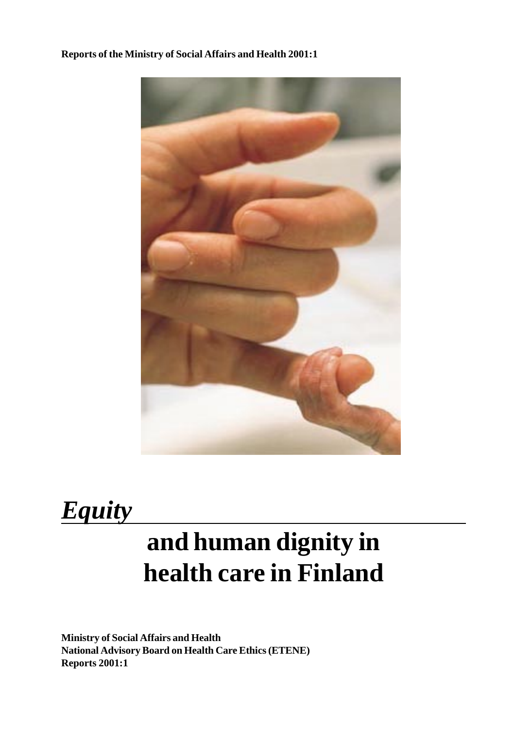## **Reports of the Ministry of Social Affairs and Health 2001:1**



# *Equity*

# **and human dignity in health care in Finland**

**Ministry of Social Affairs and Health National Advisory Board on Health Care Ethics (ETENE) Reports 2001:1**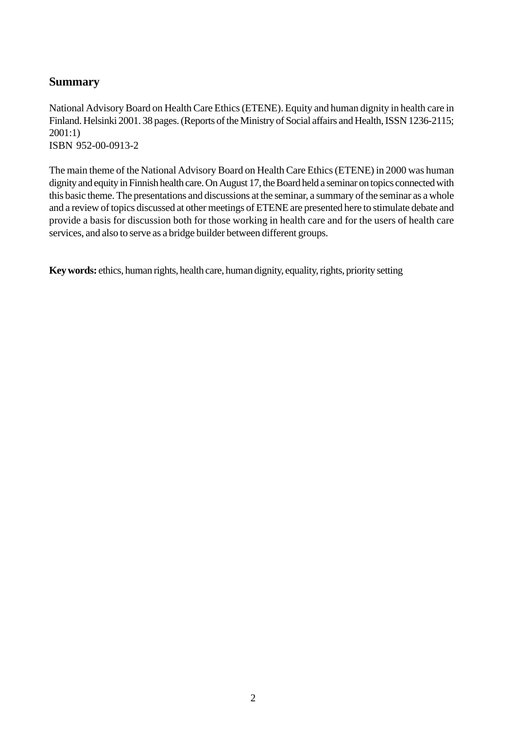## <span id="page-1-0"></span>**Summary**

National Advisory Board on Health Care Ethics (ETENE). Equity and human dignity in health care in Finland. Helsinki 2001. 38 pages. (Reports of the Ministry of Social affairs and Health, ISSN 1236-2115; 2001:1) ISBN 952-00-0913-2

The main theme of the National Advisory Board on Health Care Ethics (ETENE) in 2000 was human dignity and equity in Finnish health care. On August 17, the Board held a seminar on topics connected with this basic theme. The presentations and discussions at the seminar, a summary of the seminar as a whole and a review of topics discussed at other meetings of ETENE are presented here to stimulate debate and provide a basis for discussion both for those working in health care and for the users of health care services, and also to serve as a bridge builder between different groups.

**Key words:** ethics, human rights, health care, human dignity, equality, rights, priority setting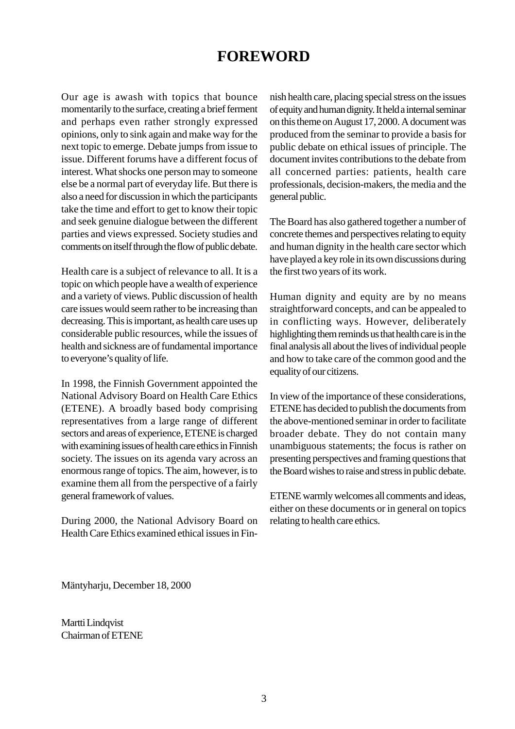## **FOREWORD**

<span id="page-2-0"></span>Our age is awash with topics that bounce momentarily to the surface, creating a brief ferment and perhaps even rather strongly expressed opinions, only to sink again and make way for the next topic to emerge. Debate jumps from issue to issue. Different forums have a different focus of interest. What shocks one person may to someone else be a normal part of everyday life. But there is also a need for discussion in which the participants take the time and effort to get to know their topic and seek genuine dialogue between the different parties and views expressed. Society studies and comments on itself through the flow of public debate.

Health care is a subject of relevance to all. It is a topic on which people have a wealth of experience and a variety of views. Public discussion of health care issues would seem rather to be increasing than decreasing. This is important, as health care uses up considerable public resources, while the issues of health and sickness are of fundamental importance to everyone's quality of life.

In 1998, the Finnish Government appointed the National Advisory Board on Health Care Ethics (ETENE). A broadly based body comprising representatives from a large range of different sectors and areas of experience, ETENE is charged with examining issues of health care ethics in Finnish society. The issues on its agenda vary across an enormous range of topics. The aim, however, is to examine them all from the perspective of a fairly general framework of values.

During 2000, the National Advisory Board on Health Care Ethics examined ethical issues in Finnish health care, placing special stress on the issues of equity and human dignity. It held a internal seminar on this theme on August 17, 2000. A document was produced from the seminar to provide a basis for public debate on ethical issues of principle. The document invites contributions to the debate from all concerned parties: patients, health care professionals, decision-makers, the media and the general public.

The Board has also gathered together a number of concrete themes and perspectives relating to equity and human dignity in the health care sector which have played a key role in its own discussions during the first two years of its work.

Human dignity and equity are by no means straightforward concepts, and can be appealed to in conflicting ways. However, deliberately highlighting them reminds us that health care is in the final analysis all about the lives of individual people and how to take care of the common good and the equality of our citizens.

In view of the importance of these considerations, ETENE has decided to publish the documents from the above-mentioned seminar in order to facilitate broader debate. They do not contain many unambiguous statements; the focus is rather on presenting perspectives and framing questions that the Board wishes to raise and stress in public debate.

ETENE warmly welcomes all comments and ideas, either on these documents or in general on topics relating to health care ethics.

Mäntyharju, December 18, 2000

Martti Lindqvist Chairman of ETENE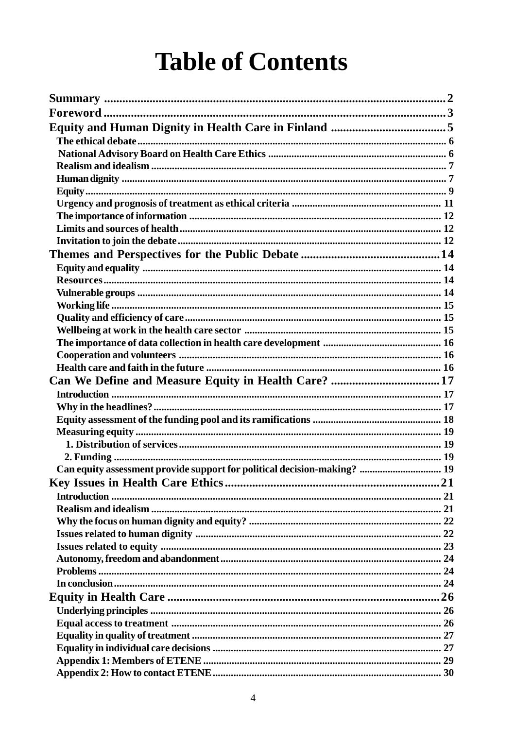# **Table of Contents**

| Can equity assessment provide support for political decision-making?  19 |  |
|--------------------------------------------------------------------------|--|
|                                                                          |  |
|                                                                          |  |
|                                                                          |  |
|                                                                          |  |
|                                                                          |  |
|                                                                          |  |
|                                                                          |  |
|                                                                          |  |
|                                                                          |  |
|                                                                          |  |
|                                                                          |  |
|                                                                          |  |
|                                                                          |  |
|                                                                          |  |
|                                                                          |  |
|                                                                          |  |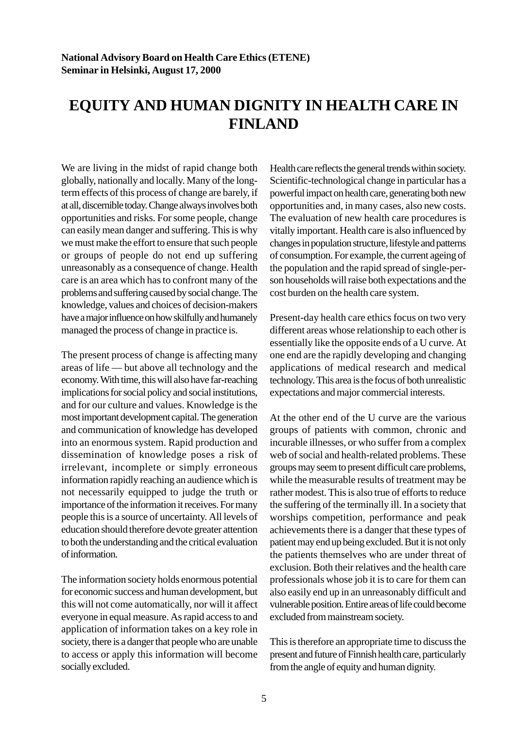# <span id="page-4-0"></span>**EQUITY AND HUMAN DIGNITY IN HEALTH CARE IN FINLAND**

We are living in the midst of rapid change both globally, nationally and locally. Many of the longterm effects of this process of change are barely, if at all, discernible today. Change always involves both opportunities and risks. For some people, change can easily mean danger and suffering. This is why we must make the effort to ensure that such people or groups of people do not end up suffering unreasonably as a consequence of change. Health care is an area which has to confront many of the problems and suffering caused by social change. The knowledge, values and choices of decision-makers have a major influence on how skilfully and humanely managed the process of change in practice is.

The present process of change is affecting many areas of life — but above all technology and the economy. With time, this will also have far-reaching implications for social policy and social institutions, and for our culture and values. Knowledge is the most important development capital. The generation and communication of knowledge has developed into an enormous system. Rapid production and dissemination of knowledge poses a risk of irrelevant, incomplete or simply erroneous information rapidly reaching an audience which is not necessarily equipped to judge the truth or importance of the information it receives. For many people this is a source of uncertainty. All levels of education should therefore devote greater attention to both the understanding and the critical evaluation of information.

The information society holds enormous potential for economic success and human development, but this will not come automatically, nor will it affect everyone in equal measure. As rapid access to and application of information takes on a key role in society, there is a danger that people who are unable to access or apply this information will become socially excluded.

Health care reflects the general trends within society. Scientific-technological change in particular has a powerful impact on health care, generating both new opportunities and, in many cases, also new costs. The evaluation of new health care procedures is vitally important. Health care is also influenced by changes in population structure, lifestyle and patterns of consumption. For example, the current ageing of the population and the rapid spread of single-person households will raise both expectations and the cost burden on the health care system.

Present-day health care ethics focus on two very different areas whose relationship to each other is essentially like the opposite ends of a U curve. At one end are the rapidly developing and changing applications of medical research and medical technology. This area is the focus of both unrealistic expectations and major commercial interests.

At the other end of the U curve are the various groups of patients with common, chronic and incurable illnesses, or who suffer from a complex web of social and health-related problems. These groups may seem to present difficult care problems, while the measurable results of treatment may be rather modest. This is also true of efforts to reduce the suffering of the terminally ill. In a society that worships competition, performance and peak achievements there is a danger that these types of patient may end up being excluded. But it is not only the patients themselves who are under threat of exclusion. Both their relatives and the health care professionals whose job it is to care for them can also easily end up in an unreasonably difficult and vulnerable position. Entire areas of life could become excluded from mainstream society.

This is therefore an appropriate time to discuss the present and future of Finnish health care, particularly from the angle of equity and human dignity.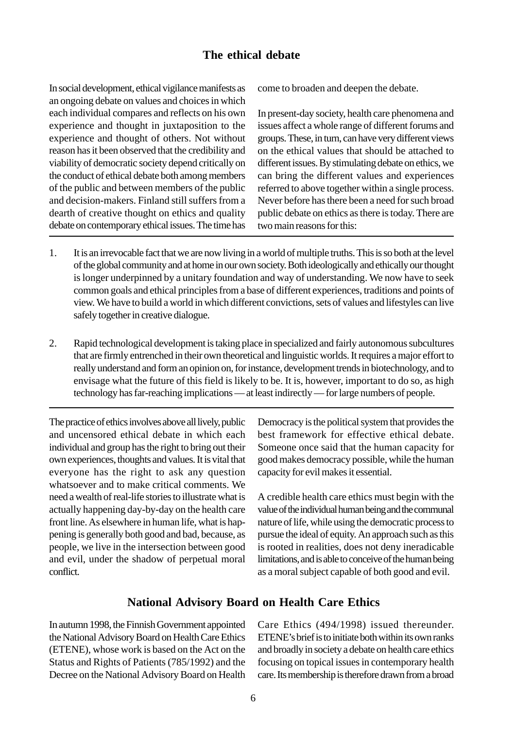## **The ethical debate**

<span id="page-5-0"></span>In social development, ethical vigilance manifests as an ongoing debate on values and choices in which each individual compares and reflects on his own experience and thought in juxtaposition to the experience and thought of others. Not without reason has it been observed that the credibility and viability of democratic society depend critically on the conduct of ethical debate both among members of the public and between members of the public and decision-makers. Finland still suffers from a dearth of creative thought on ethics and quality debate on contemporary ethical issues. The time has come to broaden and deepen the debate.

In present-day society, health care phenomena and issues affect a whole range of different forums and groups. These, in turn, can have very different views on the ethical values that should be attached to different issues. By stimulating debate on ethics, we can bring the different values and experiences referred to above together within a single process. Never before has there been a need for such broad public debate on ethics as there is today. There are two main reasons for this:

- 1. It is an irrevocable fact that we are now living in a world of multiple truths. This is so both at the level of the global community and at home in our own society. Both ideologically and ethically our thought is longer underpinned by a unitary foundation and way of understanding. We now have to seek common goals and ethical principles from a base of different experiences, traditions and points of view. We have to build a world in which different convictions, sets of values and lifestyles can live safely together in creative dialogue.
- 2. Rapid technological development is taking place in specialized and fairly autonomous subcultures that are firmly entrenched in their own theoretical and linguistic worlds. It requires a major effort to really understand and form an opinion on, for instance, development trends in biotechnology, and to envisage what the future of this field is likely to be. It is, however, important to do so, as high technology has far-reaching implications — at least indirectly — for large numbers of people.

The practice of ethics involves above all lively, public and uncensored ethical debate in which each individual and group has the right to bring out their own experiences, thoughts and values. It is vital that everyone has the right to ask any question whatsoever and to make critical comments. We need a wealth of real-life stories to illustrate what is actually happening day-by-day on the health care front line. As elsewhere in human life, what is happening is generally both good and bad, because, as people, we live in the intersection between good and evil, under the shadow of perpetual moral conflict.

Democracy is the political system that provides the best framework for effective ethical debate. Someone once said that the human capacity for good makes democracy possible, while the human capacity for evil makes it essential.

A credible health care ethics must begin with the value of the individual human being and the communal nature of life, while using the democratic process to pursue the ideal of equity. An approach such as this is rooted in realities, does not deny ineradicable limitations, and is able to conceive of the human being as a moral subject capable of both good and evil.

## **National Advisory Board on Health Care Ethics**

In autumn 1998, the Finnish Government appointed the National Advisory Board on Health Care Ethics (ETENE), whose work is based on the Act on the Status and Rights of Patients (785/1992) and the Decree on the National Advisory Board on Health Care Ethics (494/1998) issued thereunder. ETENE's brief is to initiate both within its own ranks and broadly in society a debate on health care ethics focusing on topical issues in contemporary health care. Its membership is therefore drawn from a broad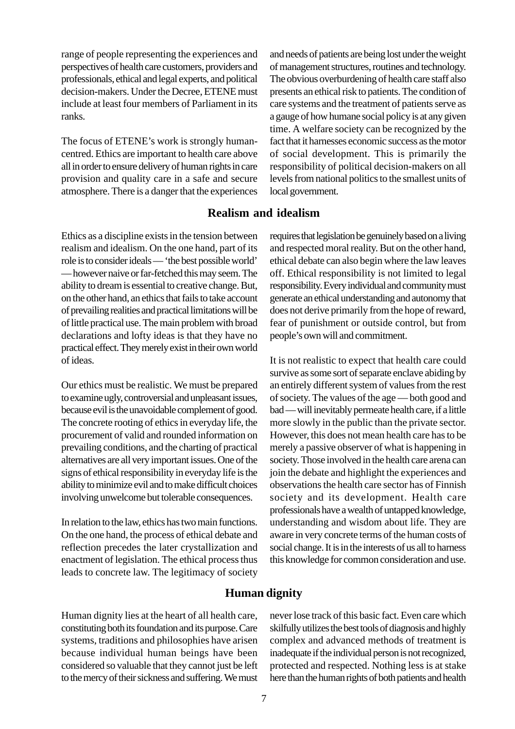<span id="page-6-0"></span>range of people representing the experiences and perspectives of health care customers, providers and professionals, ethical and legal experts, and political decision-makers. Under the Decree, ETENE must include at least four members of Parliament in its ranks.

The focus of ETENE's work is strongly humancentred. Ethics are important to health care above all in order to ensure delivery of human rights in care provision and quality care in a safe and secure atmosphere. There is a danger that the experiences and needs of patients are being lost under the weight of management structures, routines and technology. The obvious overburdening of health care staff also presents an ethical risk to patients. The condition of care systems and the treatment of patients serve as a gauge of how humane social policy is at any given time. A welfare society can be recognized by the fact that it harnesses economic success as the motor of social development. This is primarily the responsibility of political decision-makers on all levels from national politics to the smallest units of local government.

## **Realism and idealism**

Ethics as a discipline exists in the tension between realism and idealism. On the one hand, part of its role is to consider ideals — 'the best possible world' — however naive or far-fetched this may seem. The ability to dream is essential to creative change. But, on the other hand, an ethics that fails to take account of prevailing realities and practical limitations will be of little practical use. The main problem with broad declarations and lofty ideas is that they have no practical effect. They merely exist in their own world of ideas.

Our ethics must be realistic. We must be prepared to examine ugly, controversial and unpleasant issues, because evil is the unavoidable complement of good. The concrete rooting of ethics in everyday life, the procurement of valid and rounded information on prevailing conditions, and the charting of practical alternatives are all very important issues. One of the signs of ethical responsibility in everyday life is the ability to minimize evil and to make difficult choices involving unwelcome but tolerable consequences.

In relation to the law, ethics has two main functions. On the one hand, the process of ethical debate and reflection precedes the later crystallization and enactment of legislation. The ethical process thus leads to concrete law. The legitimacy of society requires that legislation be genuinely based on a living and respected moral reality. But on the other hand, ethical debate can also begin where the law leaves off. Ethical responsibility is not limited to legal responsibility. Every individual and community must generate an ethical understanding and autonomy that does not derive primarily from the hope of reward, fear of punishment or outside control, but from people's own will and commitment.

It is not realistic to expect that health care could survive as some sort of separate enclave abiding by an entirely different system of values from the rest of society. The values of the age — both good and bad — will inevitably permeate health care, if a little more slowly in the public than the private sector. However, this does not mean health care has to be merely a passive observer of what is happening in society. Those involved in the health care arena can join the debate and highlight the experiences and observations the health care sector has of Finnish society and its development. Health care professionals have a wealth of untapped knowledge, understanding and wisdom about life. They are aware in very concrete terms of the human costs of social change. It is in the interests of us all to harness this knowledge for common consideration and use.

## **Human dignity**

Human dignity lies at the heart of all health care, constituting both its foundation and its purpose. Care systems, traditions and philosophies have arisen because individual human beings have been considered so valuable that they cannot just be left to the mercy of their sickness and suffering. We must never lose track of this basic fact. Even care which skilfully utilizes the best tools of diagnosis and highly complex and advanced methods of treatment is inadequate if the individual person is not recognized, protected and respected. Nothing less is at stake here than the human rights of both patients and health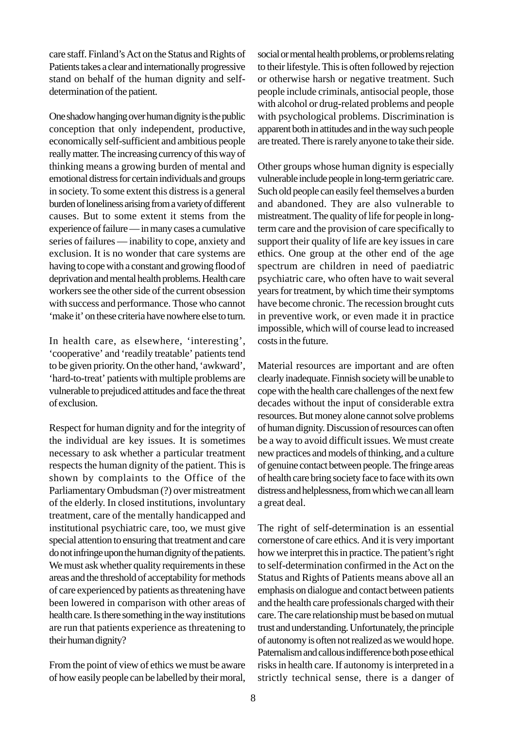care staff. Finland's Act on the Status and Rights of Patients takes a clear and internationally progressive stand on behalf of the human dignity and selfdetermination of the patient.

One shadow hanging over human dignity is the public conception that only independent, productive, economically self-sufficient and ambitious people really matter. The increasing currency of this way of thinking means a growing burden of mental and emotional distress for certain individuals and groups in society. To some extent this distress is a general burden of loneliness arising from a variety of different causes. But to some extent it stems from the experience of failure — in many cases a cumulative series of failures — inability to cope, anxiety and exclusion. It is no wonder that care systems are having to cope with a constant and growing flood of deprivation and mental health problems. Health care workers see the other side of the current obsession with success and performance. Those who cannot 'make it' on these criteria have nowhere else to turn.

In health care, as elsewhere, 'interesting', 'cooperative' and 'readily treatable' patients tend to be given priority. On the other hand, 'awkward', 'hard-to-treat' patients with multiple problems are vulnerable to prejudiced attitudes and face the threat of exclusion.

Respect for human dignity and for the integrity of the individual are key issues. It is sometimes necessary to ask whether a particular treatment respects the human dignity of the patient. This is shown by complaints to the Office of the Parliamentary Ombudsman (?) over mistreatment of the elderly. In closed institutions, involuntary treatment, care of the mentally handicapped and institutional psychiatric care, too, we must give special attention to ensuring that treatment and care do not infringe upon the human dignity of the patients. We must ask whether quality requirements in these areas and the threshold of acceptability for methods of care experienced by patients as threatening have been lowered in comparison with other areas of health care. Is there something in the way institutions are run that patients experience as threatening to their human dignity?

From the point of view of ethics we must be aware of how easily people can be labelled by their moral,

social or mental health problems, or problems relating to their lifestyle. This is often followed by rejection or otherwise harsh or negative treatment. Such people include criminals, antisocial people, those with alcohol or drug-related problems and people with psychological problems. Discrimination is apparent both in attitudes and in the way such people are treated. There is rarely anyone to take their side.

Other groups whose human dignity is especially vulnerable include people in long-term geriatric care. Such old people can easily feel themselves a burden and abandoned. They are also vulnerable to mistreatment. The quality of life for people in longterm care and the provision of care specifically to support their quality of life are key issues in care ethics. One group at the other end of the age spectrum are children in need of paediatric psychiatric care, who often have to wait several years for treatment, by which time their symptoms have become chronic. The recession brought cuts in preventive work, or even made it in practice impossible, which will of course lead to increased costs in the future.

Material resources are important and are often clearly inadequate. Finnish society will be unable to cope with the health care challenges of the next few decades without the input of considerable extra resources. But money alone cannot solve problems of human dignity. Discussion of resources can often be a way to avoid difficult issues. We must create new practices and models of thinking, and a culture of genuine contact between people. The fringe areas of health care bring society face to face with its own distress and helplessness, from which we can all learn a great deal.

The right of self-determination is an essential cornerstone of care ethics. And it is very important how we interpret this in practice. The patient's right to self-determination confirmed in the Act on the Status and Rights of Patients means above all an emphasis on dialogue and contact between patients and the health care professionals charged with their care. The care relationship must be based on mutual trust and understanding. Unfortunately, the principle of autonomy is often not realized as we would hope. Paternalism and callous indifference both pose ethical risks in health care. If autonomy is interpreted in a strictly technical sense, there is a danger of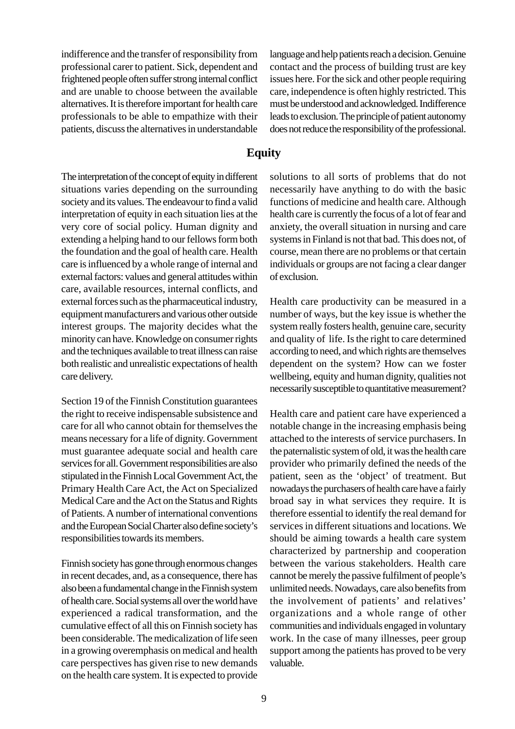<span id="page-8-0"></span>indifference and the transfer of responsibility from professional carer to patient. Sick, dependent and frightened people often suffer strong internal conflict and are unable to choose between the available alternatives. It is therefore important for health care professionals to be able to empathize with their patients, discuss the alternatives in understandable

The interpretation of the concept of equity in different situations varies depending on the surrounding society and its values. The endeavour to find a valid interpretation of equity in each situation lies at the very core of social policy. Human dignity and extending a helping hand to our fellows form both the foundation and the goal of health care. Health care is influenced by a whole range of internal and external factors: values and general attitudes within care, available resources, internal conflicts, and external forces such as the pharmaceutical industry, equipment manufacturers and various other outside interest groups. The majority decides what the minority can have. Knowledge on consumer rights and the techniques available to treat illness can raise both realistic and unrealistic expectations of health care delivery.

Section 19 of the Finnish Constitution guarantees the right to receive indispensable subsistence and care for all who cannot obtain for themselves the means necessary for a life of dignity. Government must guarantee adequate social and health care services for all. Government responsibilities are also stipulated in the Finnish Local Government Act, the Primary Health Care Act, the Act on Specialized Medical Care and the Act on the Status and Rights of Patients. A number of international conventions and the European Social Charter also define society's responsibilities towards its members.

Finnish society has gone through enormous changes in recent decades, and, as a consequence, there has also been a fundamental change in the Finnish system of health care. Social systems all over the world have experienced a radical transformation, and the cumulative effect of all this on Finnish society has been considerable. The medicalization of life seen in a growing overemphasis on medical and health care perspectives has given rise to new demands on the health care system. It is expected to provide language and help patients reach a decision. Genuine contact and the process of building trust are key issues here. For the sick and other people requiring care, independence is often highly restricted. This must be understood and acknowledged. Indifference leads to exclusion. The principle of patient autonomy does not reduce the responsibility of the professional.

## **Equity**

solutions to all sorts of problems that do not necessarily have anything to do with the basic functions of medicine and health care. Although health care is currently the focus of a lot of fear and anxiety, the overall situation in nursing and care systems in Finland is not that bad. This does not, of course, mean there are no problems or that certain individuals or groups are not facing a clear danger of exclusion.

Health care productivity can be measured in a number of ways, but the key issue is whether the system really fosters health, genuine care, security and quality of life. Is the right to care determined according to need, and which rights are themselves dependent on the system? How can we foster wellbeing, equity and human dignity, qualities not necessarily susceptible to quantitative measurement?

Health care and patient care have experienced a notable change in the increasing emphasis being attached to the interests of service purchasers. In the paternalistic system of old, it was the health care provider who primarily defined the needs of the patient, seen as the 'object' of treatment. But nowadays the purchasers of health care have a fairly broad say in what services they require. It is therefore essential to identify the real demand for services in different situations and locations. We should be aiming towards a health care system characterized by partnership and cooperation between the various stakeholders. Health care cannot be merely the passive fulfilment of people's unlimited needs. Nowadays, care also benefits from the involvement of patients' and relatives' organizations and a whole range of other communities and individuals engaged in voluntary work. In the case of many illnesses, peer group support among the patients has proved to be very valuable.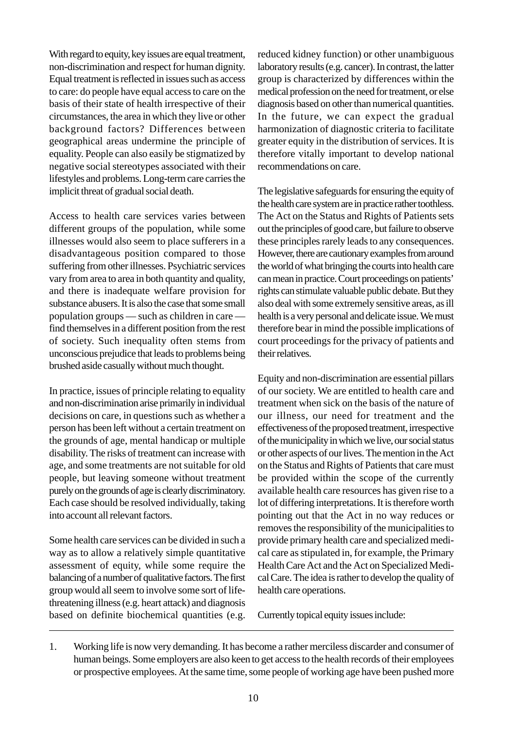With regard to equity, key issues are equal treatment, non-discrimination and respect for human dignity. Equal treatment is reflected in issues such as access to care: do people have equal access to care on the basis of their state of health irrespective of their circumstances, the area in which they live or other background factors? Differences between geographical areas undermine the principle of equality. People can also easily be stigmatized by negative social stereotypes associated with their lifestyles and problems. Long-term care carries the implicit threat of gradual social death.

Access to health care services varies between different groups of the population, while some illnesses would also seem to place sufferers in a disadvantageous position compared to those suffering from other illnesses. Psychiatric services vary from area to area in both quantity and quality, and there is inadequate welfare provision for substance abusers. It is also the case that some small population groups — such as children in care find themselves in a different position from the rest of society. Such inequality often stems from unconscious prejudice that leads to problems being brushed aside casually without much thought.

In practice, issues of principle relating to equality and non-discrimination arise primarily in individual decisions on care, in questions such as whether a person has been left without a certain treatment on the grounds of age, mental handicap or multiple disability. The risks of treatment can increase with age, and some treatments are not suitable for old people, but leaving someone without treatment purely on the grounds of age is clearly discriminatory. Each case should be resolved individually, taking into account all relevant factors.

Some health care services can be divided in such a way as to allow a relatively simple quantitative assessment of equity, while some require the balancing of a number of qualitative factors. The first group would all seem to involve some sort of lifethreatening illness (e.g. heart attack) and diagnosis based on definite biochemical quantities (e.g. reduced kidney function) or other unambiguous laboratory results (e.g. cancer). In contrast, the latter group is characterized by differences within the medical profession on the need for treatment, or else diagnosis based on other than numerical quantities. In the future, we can expect the gradual harmonization of diagnostic criteria to facilitate greater equity in the distribution of services. It is therefore vitally important to develop national recommendations on care.

The legislative safeguards for ensuring the equity of the health care system are in practice rather toothless. The Act on the Status and Rights of Patients sets out the principles of good care, but failure to observe these principles rarely leads to any consequences. However, there are cautionary examples from around the world of what bringing the courts into health care can mean in practice. Court proceedings on patients' rights can stimulate valuable public debate. But they also deal with some extremely sensitive areas, as ill health is a very personal and delicate issue. We must therefore bear in mind the possible implications of court proceedings for the privacy of patients and their relatives.

Equity and non-discrimination are essential pillars of our society. We are entitled to health care and treatment when sick on the basis of the nature of our illness, our need for treatment and the effectiveness of the proposed treatment, irrespective of the municipality in which we live, our social status or other aspects of our lives. The mention in the Act on the Status and Rights of Patients that care must be provided within the scope of the currently available health care resources has given rise to a lot of differing interpretations. It is therefore worth pointing out that the Act in no way reduces or removes the responsibility of the municipalities to provide primary health care and specialized medical care as stipulated in, for example, the Primary Health Care Act and the Act on Specialized Medical Care. The idea is rather to develop the quality of health care operations.

Currently topical equity issues include:

1. Working life is now very demanding. It has become a rather merciless discarder and consumer of human beings. Some employers are also keen to get access to the health records of their employees or prospective employees. At the same time, some people of working age have been pushed more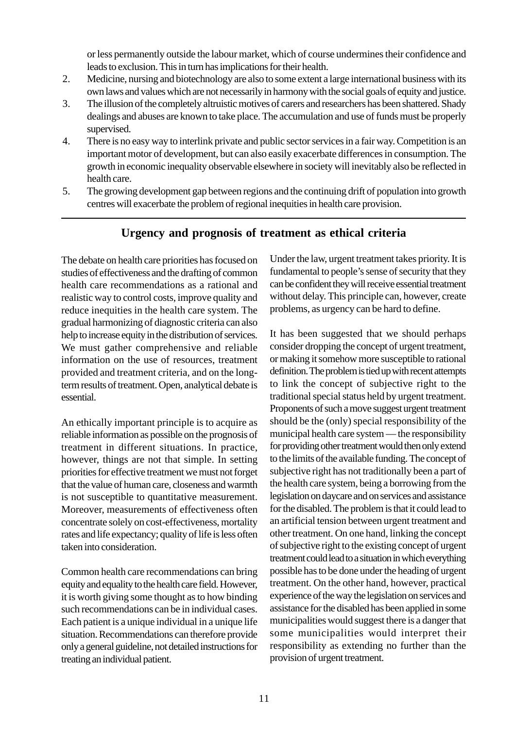or less permanently outside the labour market, which of course undermines their confidence and leads to exclusion. This in turn has implications for their health.

- <span id="page-10-0"></span>2. Medicine, nursing and biotechnology are also to some extent a large international business with its own laws and values which are not necessarily in harmony with the social goals of equity and justice.
- 3. The illusion of the completely altruistic motives of carers and researchers has been shattered. Shady dealings and abuses are known to take place. The accumulation and use of funds must be properly supervised.
- 4. There is no easy way to interlink private and public sector services in a fair way. Competition is an important motor of development, but can also easily exacerbate differences in consumption. The growth in economic inequality observable elsewhere in society will inevitably also be reflected in health care.
- 5. The growing development gap between regions and the continuing drift of population into growth centres will exacerbate the problem of regional inequities in health care provision.

## **Urgency and prognosis of treatment as ethical criteria**

The debate on health care priorities has focused on studies of effectiveness and the drafting of common health care recommendations as a rational and realistic way to control costs, improve quality and reduce inequities in the health care system. The gradual harmonizing of diagnostic criteria can also help to increase equity in the distribution of services. We must gather comprehensive and reliable information on the use of resources, treatment provided and treatment criteria, and on the longterm results of treatment. Open, analytical debate is essential.

An ethically important principle is to acquire as reliable information as possible on the prognosis of treatment in different situations. In practice, however, things are not that simple. In setting priorities for effective treatment we must not forget that the value of human care, closeness and warmth is not susceptible to quantitative measurement. Moreover, measurements of effectiveness often concentrate solely on cost-effectiveness, mortality rates and life expectancy; quality of life is less often taken into consideration.

Common health care recommendations can bring equity and equality to the health care field. However, it is worth giving some thought as to how binding such recommendations can be in individual cases. Each patient is a unique individual in a unique life situation. Recommendations can therefore provide only a general guideline, not detailed instructions for treating an individual patient.

Under the law, urgent treatment takes priority. It is fundamental to people's sense of security that they can be confident they will receive essential treatment without delay. This principle can, however, create problems, as urgency can be hard to define.

It has been suggested that we should perhaps consider dropping the concept of urgent treatment, or making it somehow more susceptible to rational definition. The problem is tied up with recent attempts to link the concept of subjective right to the traditional special status held by urgent treatment. Proponents of such a move suggest urgent treatment should be the (only) special responsibility of the municipal health care system — the responsibility for providing other treatment would then only extend to the limits of the available funding. The concept of subjective right has not traditionally been a part of the health care system, being a borrowing from the legislation on daycare and on services and assistance for the disabled. The problem is that it could lead to an artificial tension between urgent treatment and other treatment. On one hand, linking the concept of subjective right to the existing concept of urgent treatment could lead to a situation in which everything possible has to be done under the heading of urgent treatment. On the other hand, however, practical experience of the way the legislation on services and assistance for the disabled has been applied in some municipalities would suggest there is a danger that some municipalities would interpret their responsibility as extending no further than the provision of urgent treatment.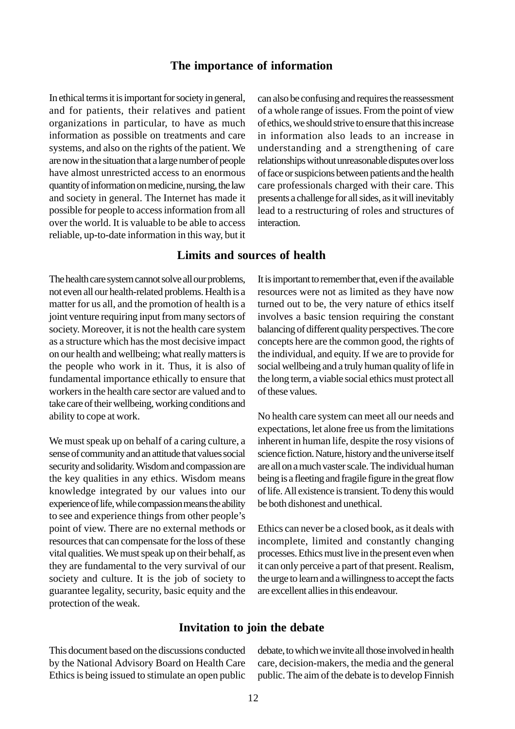#### **The importance of information**

<span id="page-11-0"></span>In ethical terms it is important for society in general, and for patients, their relatives and patient organizations in particular, to have as much information as possible on treatments and care systems, and also on the rights of the patient. We are now in the situation that a large number of people have almost unrestricted access to an enormous quantity of information on medicine, nursing, the law and society in general. The Internet has made it possible for people to access information from all over the world. It is valuable to be able to access reliable, up-to-date information in this way, but it can also be confusing and requires the reassessment of a whole range of issues. From the point of view of ethics, we should strive to ensure that this increase in information also leads to an increase in understanding and a strengthening of care relationships without unreasonable disputes over loss of face or suspicions between patients and the health care professionals charged with their care. This presents a challenge for all sides, as it will inevitably lead to a restructuring of roles and structures of interaction.

## **Limits and sources of health**

The health care system cannot solve all our problems, not even all our health-related problems. Health is a matter for us all, and the promotion of health is a joint venture requiring input from many sectors of society. Moreover, it is not the health care system as a structure which has the most decisive impact on our health and wellbeing; what really matters is the people who work in it. Thus, it is also of fundamental importance ethically to ensure that workers in the health care sector are valued and to take care of their wellbeing, working conditions and ability to cope at work.

We must speak up on behalf of a caring culture, a sense of community and an attitude that values social security and solidarity. Wisdom and compassion are the key qualities in any ethics. Wisdom means knowledge integrated by our values into our experience of life, while compassion means the ability to see and experience things from other people's point of view. There are no external methods or resources that can compensate for the loss of these vital qualities. We must speak up on their behalf, as they are fundamental to the very survival of our society and culture. It is the job of society to guarantee legality, security, basic equity and the protection of the weak.

It is important to remember that, even if the available resources were not as limited as they have now turned out to be, the very nature of ethics itself involves a basic tension requiring the constant balancing of different quality perspectives. The core concepts here are the common good, the rights of the individual, and equity. If we are to provide for social wellbeing and a truly human quality of life in the long term, a viable social ethics must protect all of these values.

No health care system can meet all our needs and expectations, let alone free us from the limitations inherent in human life, despite the rosy visions of science fiction. Nature, history and the universe itself are all on a much vaster scale. The individual human being is a fleeting and fragile figure in the great flow of life. All existence is transient. To deny this would be both dishonest and unethical.

Ethics can never be a closed book, as it deals with incomplete, limited and constantly changing processes. Ethics must live in the present even when it can only perceive a part of that present. Realism, the urge to learn and a willingness to accept the facts are excellent allies in this endeavour.

#### **Invitation to join the debate**

This document based on the discussions conducted by the National Advisory Board on Health Care Ethics is being issued to stimulate an open public debate, to which we invite all those involved in health care, decision-makers, the media and the general public. The aim of the debate is to develop Finnish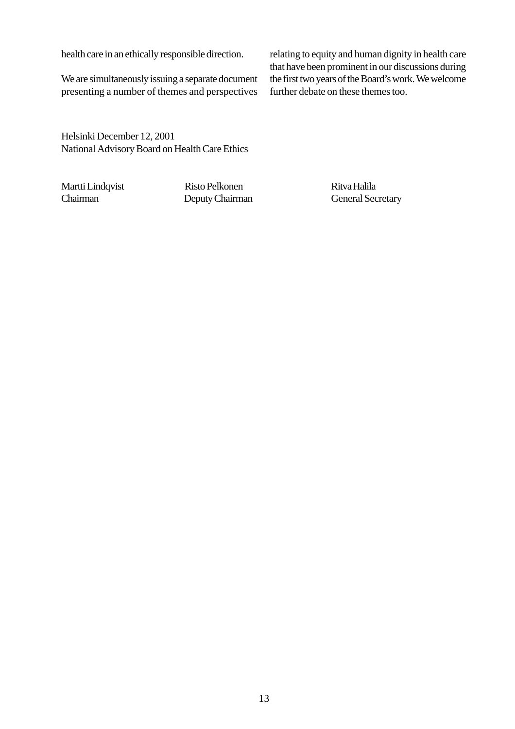health care in an ethically responsible direction.

We are simultaneously issuing a separate document presenting a number of themes and perspectives

relating to equity and human dignity in health care that have been prominent in our discussions during the first two years of the Board's work. We welcome further debate on these themes too.

Helsinki December 12, 2001 National Advisory Board on Health Care Ethics

Martti Lindqvist Risto Pelkonen Risto Pelkonen Ritva Halila Chairman Deputy Chairman General Secretary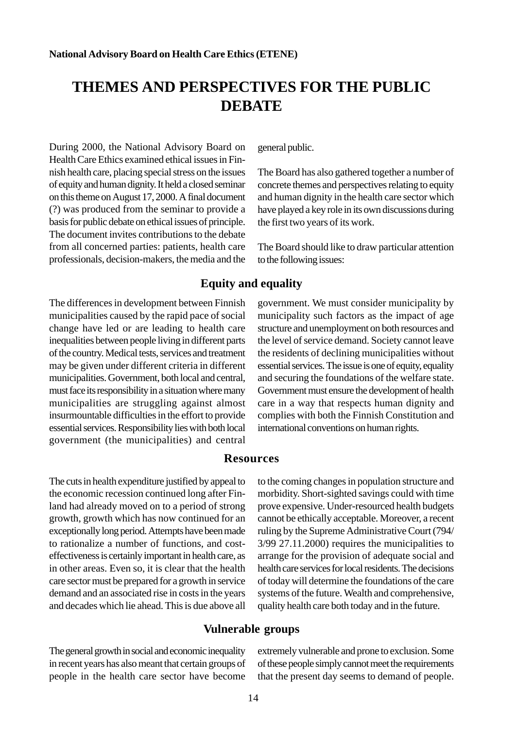# <span id="page-13-0"></span>**THEMES AND PERSPECTIVES FOR THE PUBLIC DEBATE**

During 2000, the National Advisory Board on Health Care Ethics examined ethical issues in Finnish health care, placing special stress on the issues of equity and human dignity. It held a closed seminar on this theme on August 17, 2000. A final document (?) was produced from the seminar to provide a basis for public debate on ethical issues of principle. The document invites contributions to the debate from all concerned parties: patients, health care professionals, decision-makers, the media and the general public.

The Board has also gathered together a number of concrete themes and perspectives relating to equity and human dignity in the health care sector which have played a key role in its own discussions during the first two years of its work.

The Board should like to draw particular attention to the following issues:

## **Equity and equality**

The differences in development between Finnish municipalities caused by the rapid pace of social change have led or are leading to health care inequalities between people living in different parts of the country. Medical tests, services and treatment may be given under different criteria in different municipalities. Government, both local and central, must face its responsibility in a situation where many municipalities are struggling against almost insurmountable difficulties in the effort to provide essential services. Responsibility lies with both local government (the municipalities) and central

government. We must consider municipality by municipality such factors as the impact of age structure and unemployment on both resources and the level of service demand. Society cannot leave the residents of declining municipalities without essential services. The issue is one of equity, equality and securing the foundations of the welfare state. Government must ensure the development of health care in a way that respects human dignity and complies with both the Finnish Constitution and international conventions on human rights.

#### **Resources**

The cuts in health expenditure justified by appeal to the economic recession continued long after Finland had already moved on to a period of strong growth, growth which has now continued for an exceptionally long period. Attempts have been made to rationalize a number of functions, and costeffectiveness is certainly important in health care, as in other areas. Even so, it is clear that the health care sector must be prepared for a growth in service demand and an associated rise in costs in the years and decades which lie ahead. This is due above all to the coming changes in population structure and morbidity. Short-sighted savings could with time prove expensive. Under-resourced health budgets cannot be ethically acceptable. Moreover, a recent ruling by the Supreme Administrative Court (794/ 3/99 27.11.2000) requires the municipalities to arrange for the provision of adequate social and health care services for local residents. The decisions of today will determine the foundations of the care systems of the future. Wealth and comprehensive, quality health care both today and in the future.

## **Vulnerable groups**

The general growth in social and economic inequality in recent years has also meant that certain groups of people in the health care sector have become

extremely vulnerable and prone to exclusion. Some of these people simply cannot meet the requirements that the present day seems to demand of people.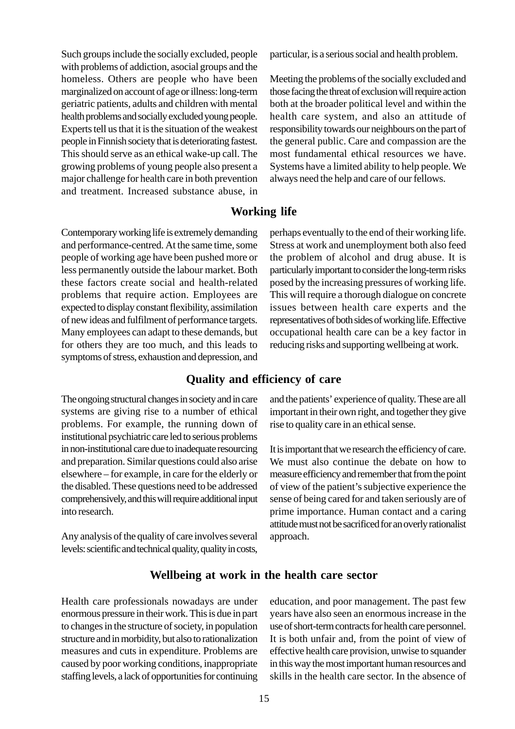<span id="page-14-0"></span>Such groups include the socially excluded, people with problems of addiction, asocial groups and the homeless. Others are people who have been marginalized on account of age or illness: long-term geriatric patients, adults and children with mental health problems and socially excluded young people. Experts tell us that it is the situation of the weakest people in Finnish society that is deteriorating fastest. This should serve as an ethical wake-up call. The growing problems of young people also present a major challenge for health care in both prevention and treatment. Increased substance abuse, in

Contemporary working life is extremely demanding and performance-centred. At the same time, some people of working age have been pushed more or less permanently outside the labour market. Both these factors create social and health-related problems that require action. Employees are expected to display constant flexibility, assimilation of new ideas and fulfilment of performance targets. Many employees can adapt to these demands, but for others they are too much, and this leads to symptoms of stress, exhaustion and depression, and

The ongoing structural changes in society and in care systems are giving rise to a number of ethical problems. For example, the running down of institutional psychiatric care led to serious problems in non-institutional care due to inadequate resourcing and preparation. Similar questions could also arise elsewhere – for example, in care for the elderly or the disabled. These questions need to be addressed comprehensively, and this will require additional input into research.

Any analysis of the quality of care involves several levels: scientific and technical quality, quality in costs,

particular, is a serious social and health problem.

Meeting the problems of the socially excluded and those facing the threat of exclusion will require action both at the broader political level and within the health care system, and also an attitude of responsibility towards our neighbours on the part of the general public. Care and compassion are the most fundamental ethical resources we have. Systems have a limited ability to help people. We always need the help and care of our fellows.

## **Working life**

perhaps eventually to the end of their working life. Stress at work and unemployment both also feed the problem of alcohol and drug abuse. It is particularly important to consider the long-term risks posed by the increasing pressures of working life. This will require a thorough dialogue on concrete issues between health care experts and the representatives of both sides of working life. Effective occupational health care can be a key factor in reducing risks and supporting wellbeing at work.

## **Quality and efficiency of care**

and the patients' experience of quality. These are all important in their own right, and together they give rise to quality care in an ethical sense.

It is important that we research the efficiency of care. We must also continue the debate on how to measure efficiency and remember that from the point of view of the patient's subjective experience the sense of being cared for and taken seriously are of prime importance. Human contact and a caring attitude must not be sacrificed for an overly rationalist approach.

## **Wellbeing at work in the health care sector**

Health care professionals nowadays are under enormous pressure in their work. This is due in part to changes in the structure of society, in population structure and in morbidity, but also to rationalization measures and cuts in expenditure. Problems are caused by poor working conditions, inappropriate staffing levels, a lack of opportunities for continuing education, and poor management. The past few years have also seen an enormous increase in the use of short-term contracts for health care personnel. It is both unfair and, from the point of view of effective health care provision, unwise to squander in this way the most important human resources and skills in the health care sector. In the absence of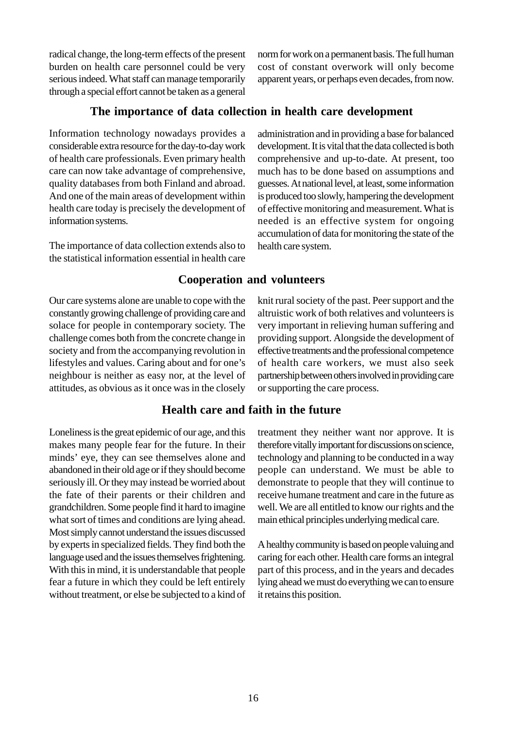<span id="page-15-0"></span>radical change, the long-term effects of the present burden on health care personnel could be very serious indeed. What staff can manage temporarily through a special effort cannot be taken as a general norm for work on a permanent basis. The full human cost of constant overwork will only become apparent years, or perhaps even decades, from now.

administration and in providing a base for balanced development. It is vital that the data collected is both comprehensive and up-to-date. At present, too much has to be done based on assumptions and guesses. At national level, at least, some information is produced too slowly, hampering the development of effective monitoring and measurement. What is needed is an effective system for ongoing accumulation of data for monitoring the state of the

## **The importance of data collection in health care development**

Information technology nowadays provides a considerable extra resource for the day-to-day work of health care professionals. Even primary health care can now take advantage of comprehensive, quality databases from both Finland and abroad. And one of the main areas of development within health care today is precisely the development of information systems.

The importance of data collection extends also to the statistical information essential in health care

Our care systems alone are unable to cope with the constantly growing challenge of providing care and solace for people in contemporary society. The challenge comes both from the concrete change in society and from the accompanying revolution in lifestyles and values. Caring about and for one's neighbour is neither as easy nor, at the level of attitudes, as obvious as it once was in the closely

## **Cooperation and volunteers**

health care system.

knit rural society of the past. Peer support and the altruistic work of both relatives and volunteers is very important in relieving human suffering and providing support. Alongside the development of effective treatments and the professional competence of health care workers, we must also seek partnership between others involved in providing care or supporting the care process.

## **Health care and faith in the future**

Loneliness is the great epidemic of our age, and this makes many people fear for the future. In their minds' eye, they can see themselves alone and abandoned in their old age or if they should become seriously ill. Or they may instead be worried about the fate of their parents or their children and grandchildren. Some people find it hard to imagine what sort of times and conditions are lying ahead. Most simply cannot understand the issues discussed by experts in specialized fields. They find both the language used and the issues themselves frightening. With this in mind, it is understandable that people fear a future in which they could be left entirely without treatment, or else be subjected to a kind of treatment they neither want nor approve. It is therefore vitally important for discussions on science, technology and planning to be conducted in a way people can understand. We must be able to demonstrate to people that they will continue to receive humane treatment and care in the future as well. We are all entitled to know our rights and the main ethical principles underlying medical care.

A healthy community is based on people valuing and caring for each other. Health care forms an integral part of this process, and in the years and decades lying ahead we must do everything we can to ensure it retains this position.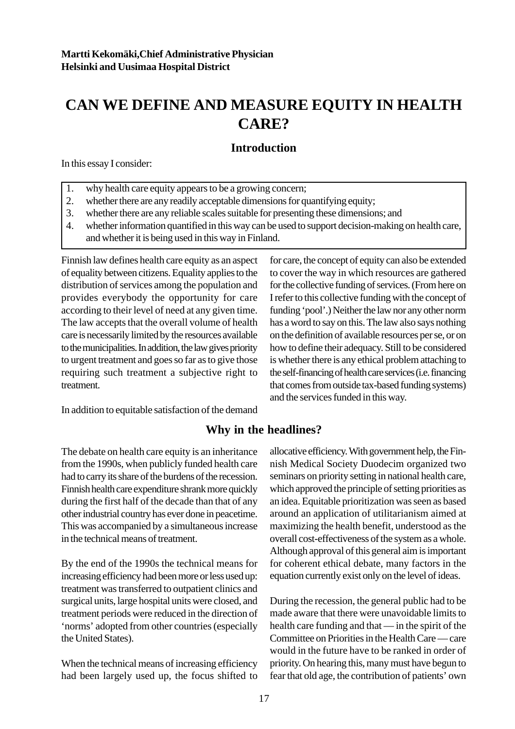# <span id="page-16-0"></span>**CAN WE DEFINE AND MEASURE EQUITY IN HEALTH CARE?**

## **Introduction**

In this essay I consider:

- 1. why health care equity appears to be a growing concern;
- 2. whether there are any readily acceptable dimensions for quantifying equity;
- 3. whether there are any reliable scales suitable for presenting these dimensions; and
- 4. whether information quantified in this way can be used to support decision-making on health care, and whether it is being used in this way in Finland.

Finnish law defines health care equity as an aspect of equality between citizens. Equality applies to the distribution of services among the population and provides everybody the opportunity for care according to their level of need at any given time. The law accepts that the overall volume of health care is necessarily limited by the resources available to the municipalities. In addition, the law gives priority to urgent treatment and goes so far as to give those requiring such treatment a subjective right to treatment.

In addition to equitable satisfaction of the demand

## **Why in the headlines?**

The debate on health care equity is an inheritance from the 1990s, when publicly funded health care had to carry its share of the burdens of the recession. Finnish health care expenditure shrank more quickly during the first half of the decade than that of any other industrial country has ever done in peacetime. This was accompanied by a simultaneous increase in the technical means of treatment.

By the end of the 1990s the technical means for increasing efficiency had been more or less used up: treatment was transferred to outpatient clinics and surgical units, large hospital units were closed, and treatment periods were reduced in the direction of 'norms' adopted from other countries (especially the United States).

When the technical means of increasing efficiency had been largely used up, the focus shifted to for care, the concept of equity can also be extended to cover the way in which resources are gathered for the collective funding of services. (From here on I refer to this collective funding with the concept of funding 'pool'.) Neither the law nor any other norm has a word to say on this. The law also says nothing on the definition of available resources per se, or on how to define their adequacy. Still to be considered is whether there is any ethical problem attaching to the self-financing of health care services (i.e. financing that comes from outside tax-based funding systems) and the services funded in this way.

allocative efficiency. With government help, the Finnish Medical Society Duodecim organized two seminars on priority setting in national health care, which approved the principle of setting priorities as an idea. Equitable prioritization was seen as based around an application of utilitarianism aimed at maximizing the health benefit, understood as the overall cost-effectiveness of the system as a whole. Although approval of this general aim is important for coherent ethical debate, many factors in the equation currently exist only on the level of ideas.

During the recession, the general public had to be made aware that there were unavoidable limits to health care funding and that — in the spirit of the Committee on Priorities in the Health Care — care would in the future have to be ranked in order of priority. On hearing this, many must have begun to fear that old age, the contribution of patients' own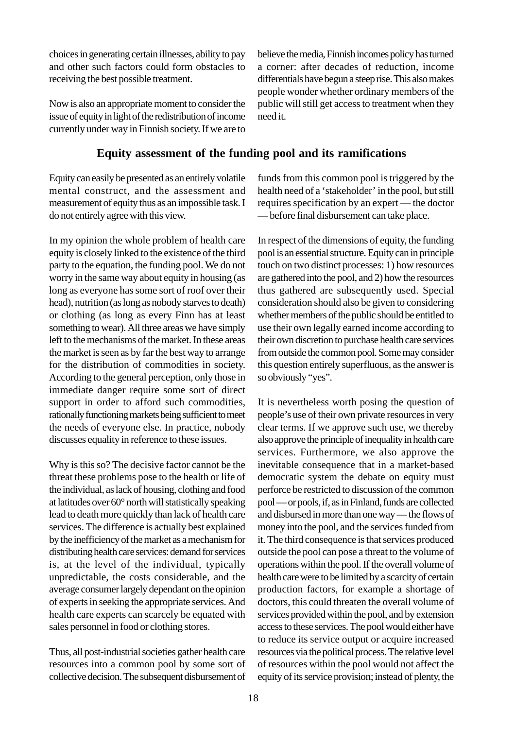<span id="page-17-0"></span>choices in generating certain illnesses, ability to pay and other such factors could form obstacles to receiving the best possible treatment.

Now is also an appropriate moment to consider the issue of equity in light of the redistribution of income currently under way in Finnish society. If we are to

## **Equity assessment of the funding pool and its ramifications**

Equity can easily be presented as an entirely volatile mental construct, and the assessment and measurement of equity thus as an impossible task. I do not entirely agree with this view.

In my opinion the whole problem of health care equity is closely linked to the existence of the third party to the equation, the funding pool. We do not worry in the same way about equity in housing (as long as everyone has some sort of roof over their head), nutrition (as long as nobody starves to death) or clothing (as long as every Finn has at least something to wear). All three areas we have simply left to the mechanisms of the market. In these areas the market is seen as by far the best way to arrange for the distribution of commodities in society. According to the general perception, only those in immediate danger require some sort of direct support in order to afford such commodities, rationally functioning markets being sufficient to meet the needs of everyone else. In practice, nobody discusses equality in reference to these issues.

Why is this so? The decisive factor cannot be the threat these problems pose to the health or life of the individual, as lack of housing, clothing and food at latitudes over 60° north will statistically speaking lead to death more quickly than lack of health care services. The difference is actually best explained by the inefficiency of the market as a mechanism for distributing health care services: demand for services is, at the level of the individual, typically unpredictable, the costs considerable, and the average consumer largely dependant on the opinion of experts in seeking the appropriate services. And health care experts can scarcely be equated with sales personnel in food or clothing stores.

Thus, all post-industrial societies gather health care resources into a common pool by some sort of collective decision. The subsequent disbursement of believe the media, Finnish incomes policy has turned a corner: after decades of reduction, income differentials have begun a steep rise. This also makes people wonder whether ordinary members of the public will still get access to treatment when they need it.

funds from this common pool is triggered by the health need of a 'stakeholder' in the pool, but still requires specification by an expert — the doctor — before final disbursement can take place.

In respect of the dimensions of equity, the funding pool is an essential structure. Equity can in principle touch on two distinct processes: 1) how resources are gathered into the pool, and 2) how the resources thus gathered are subsequently used. Special consideration should also be given to considering whether members of the public should be entitled to use their own legally earned income according to their own discretion to purchase health care services from outside the common pool. Some may consider this question entirely superfluous, as the answer is so obviously "yes".

It is nevertheless worth posing the question of people's use of their own private resources in very clear terms. If we approve such use, we thereby also approve the principle of inequality in health care services. Furthermore, we also approve the inevitable consequence that in a market-based democratic system the debate on equity must perforce be restricted to discussion of the common pool — or pools, if, as in Finland, funds are collected and disbursed in more than one way — the flows of money into the pool, and the services funded from it. The third consequence is that services produced outside the pool can pose a threat to the volume of operations within the pool. If the overall volume of health care were to be limited by a scarcity of certain production factors, for example a shortage of doctors, this could threaten the overall volume of services provided within the pool, and by extension access to these services. The pool would either have to reduce its service output or acquire increased resources via the political process. The relative level of resources within the pool would not affect the equity of its service provision; instead of plenty, the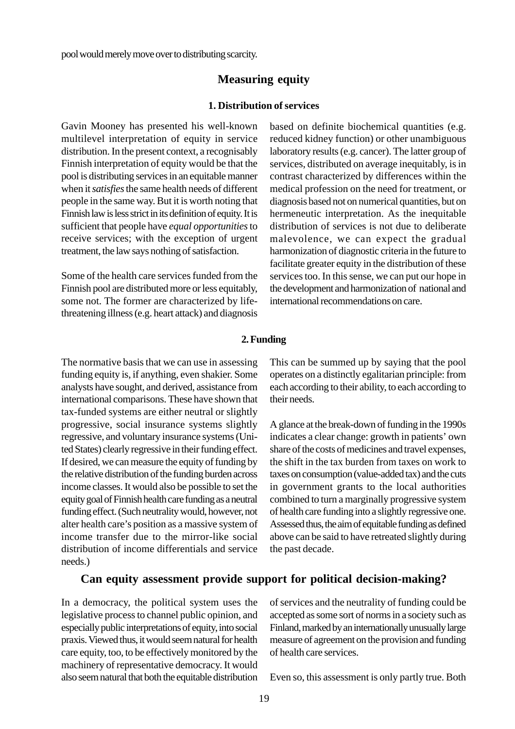<span id="page-18-0"></span>pool would merely move over to distributing scarcity.

## **Measuring equity**

#### **1. Distribution of services**

Gavin Mooney has presented his well-known multilevel interpretation of equity in service distribution. In the present context, a recognisably Finnish interpretation of equity would be that the pool is distributing services in an equitable manner when it *satisfies* the same health needs of different people in the same way. But it is worth noting that Finnish law is less strict in its definition of equity. It is sufficient that people have *equal opportunities* to receive services; with the exception of urgent treatment, the law says nothing of satisfaction.

Some of the health care services funded from the Finnish pool are distributed more or less equitably, some not. The former are characterized by lifethreatening illness (e.g. heart attack) and diagnosis based on definite biochemical quantities (e.g. reduced kidney function) or other unambiguous laboratory results (e.g. cancer). The latter group of services, distributed on average inequitably, is in contrast characterized by differences within the medical profession on the need for treatment, or diagnosis based not on numerical quantities, but on hermeneutic interpretation. As the inequitable distribution of services is not due to deliberate malevolence, we can expect the gradual harmonization of diagnostic criteria in the future to facilitate greater equity in the distribution of these services too. In this sense, we can put our hope in the development and harmonization of national and international recommendations on care.

#### **2. Funding**

The normative basis that we can use in assessing funding equity is, if anything, even shakier. Some analysts have sought, and derived, assistance from international comparisons. These have shown that tax-funded systems are either neutral or slightly progressive, social insurance systems slightly regressive, and voluntary insurance systems (United States) clearly regressive in their funding effect. If desired, we can measure the equity of funding by the relative distribution of the funding burden across income classes. It would also be possible to set the equity goal of Finnish health care funding as a neutral funding effect. (Such neutrality would, however, not alter health care's position as a massive system of income transfer due to the mirror-like social distribution of income differentials and service needs.)

This can be summed up by saying that the pool operates on a distinctly egalitarian principle: from each according to their ability, to each according to their needs.

A glance at the break-down of funding in the 1990s indicates a clear change: growth in patients' own share of the costs of medicines and travel expenses, the shift in the tax burden from taxes on work to taxes on consumption (value-added tax) and the cuts in government grants to the local authorities combined to turn a marginally progressive system of health care funding into a slightly regressive one. Assessed thus, the aim of equitable funding as defined above can be said to have retreated slightly during the past decade.

## **Can equity assessment provide support for political decision-making?**

In a democracy, the political system uses the legislative process to channel public opinion, and especially public interpretations of equity, into social praxis. Viewed thus, it would seem natural for health care equity, too, to be effectively monitored by the machinery of representative democracy. It would also seem natural that both the equitable distribution of services and the neutrality of funding could be accepted as some sort of norms in a society such as Finland, marked by an internationally unusually large measure of agreement on the provision and funding of health care services.

Even so, this assessment is only partly true. Both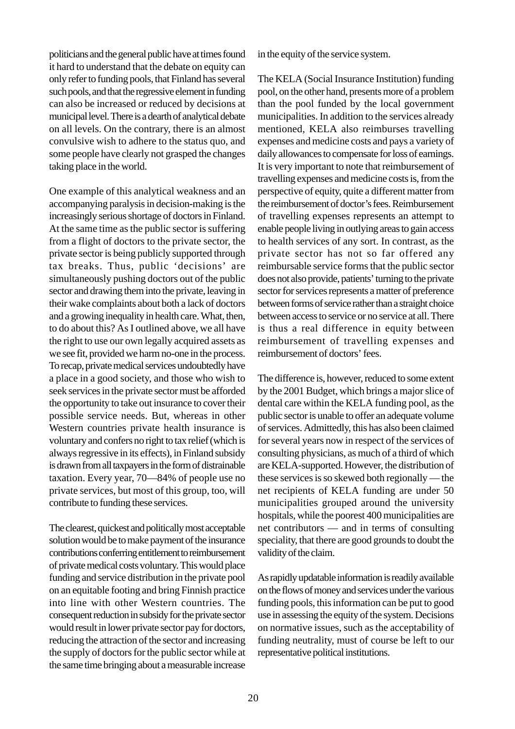politicians and the general public have at times found it hard to understand that the debate on equity can only refer to funding pools, that Finland has several such pools, and that the regressive element in funding can also be increased or reduced by decisions at municipal level. There is a dearth of analytical debate on all levels. On the contrary, there is an almost convulsive wish to adhere to the status quo, and some people have clearly not grasped the changes taking place in the world.

One example of this analytical weakness and an accompanying paralysis in decision-making is the increasingly serious shortage of doctors in Finland. At the same time as the public sector is suffering from a flight of doctors to the private sector, the private sector is being publicly supported through tax breaks. Thus, public 'decisions' are simultaneously pushing doctors out of the public sector and drawing them into the private, leaving in their wake complaints about both a lack of doctors and a growing inequality in health care. What, then, to do about this? As I outlined above, we all have the right to use our own legally acquired assets as we see fit, provided we harm no-one in the process. To recap, private medical services undoubtedly have a place in a good society, and those who wish to seek services in the private sector must be afforded the opportunity to take out insurance to cover their possible service needs. But, whereas in other Western countries private health insurance is voluntary and confers no right to tax relief (which is always regressive in its effects), in Finland subsidy is drawn from all taxpayers in the form of distrainable taxation. Every year, 70—84% of people use no private services, but most of this group, too, will contribute to funding these services.

The clearest, quickest and politically most acceptable solution would be to make payment of the insurance contributions conferring entitlement to reimbursement of private medical costs voluntary. This would place funding and service distribution in the private pool on an equitable footing and bring Finnish practice into line with other Western countries. The consequent reduction in subsidy for the private sector would result in lower private sector pay for doctors, reducing the attraction of the sector and increasing the supply of doctors for the public sector while at the same time bringing about a measurable increase in the equity of the service system.

The KELA (Social Insurance Institution) funding pool, on the other hand, presents more of a problem than the pool funded by the local government municipalities. In addition to the services already mentioned, KELA also reimburses travelling expenses and medicine costs and pays a variety of daily allowances to compensate for loss of earnings. It is very important to note that reimbursement of travelling expenses and medicine costs is, from the perspective of equity, quite a different matter from the reimbursement of doctor's fees. Reimbursement of travelling expenses represents an attempt to enable people living in outlying areas to gain access to health services of any sort. In contrast, as the private sector has not so far offered any reimbursable service forms that the public sector does not also provide, patients' turning to the private sector for services represents a matter of preference between forms of service rather than a straight choice between access to service or no service at all. There is thus a real difference in equity between reimbursement of travelling expenses and reimbursement of doctors' fees.

The difference is, however, reduced to some extent by the 2001 Budget, which brings a major slice of dental care within the KELA funding pool, as the public sector is unable to offer an adequate volume of services. Admittedly, this has also been claimed for several years now in respect of the services of consulting physicians, as much of a third of which are KELA-supported. However, the distribution of these services is so skewed both regionally — the net recipients of KELA funding are under 50 municipalities grouped around the university hospitals, while the poorest 400 municipalities are net contributors — and in terms of consulting speciality, that there are good grounds to doubt the validity of the claim.

As rapidly updatable information is readily available on the flows of money and services under the various funding pools, this information can be put to good use in assessing the equity of the system. Decisions on normative issues, such as the acceptability of funding neutrality, must of course be left to our representative political institutions.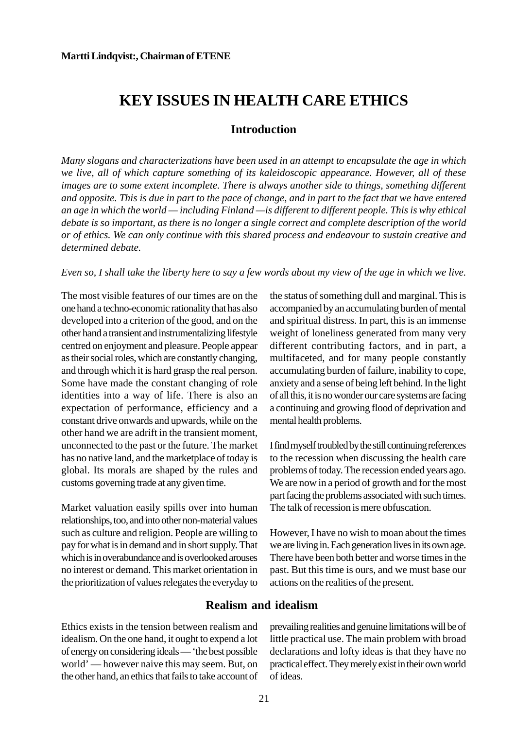## <span id="page-20-0"></span>**KEY ISSUES IN HEALTH CARE ETHICS**

## **Introduction**

*Many slogans and characterizations have been used in an attempt to encapsulate the age in which we live, all of which capture something of its kaleidoscopic appearance. However, all of these images are to some extent incomplete. There is always another side to things, something different and opposite. This is due in part to the pace of change, and in part to the fact that we have entered an age in which the world — including Finland —is different to different people. This is why ethical debate is so important, as there is no longer a single correct and complete description of the world or of ethics. We can only continue with this shared process and endeavour to sustain creative and determined debate.*

#### *Even so, I shall take the liberty here to say a few words about my view of the age in which we live.*

The most visible features of our times are on the one hand a techno-economic rationality that has also developed into a criterion of the good, and on the other hand a transient and instrumentalizing lifestyle centred on enjoyment and pleasure. People appear as their social roles, which are constantly changing, and through which it is hard grasp the real person. Some have made the constant changing of role identities into a way of life. There is also an expectation of performance, efficiency and a constant drive onwards and upwards, while on the other hand we are adrift in the transient moment, unconnected to the past or the future. The market has no native land, and the marketplace of today is global. Its morals are shaped by the rules and customs governing trade at any given time.

Market valuation easily spills over into human relationships, too, and into other non-material values such as culture and religion. People are willing to pay for what is in demand and in short supply. That which is in overabundance and is overlooked arouses no interest or demand. This market orientation in the prioritization of values relegates the everyday to the status of something dull and marginal. This is accompanied by an accumulating burden of mental and spiritual distress. In part, this is an immense weight of loneliness generated from many very different contributing factors, and in part, a multifaceted, and for many people constantly accumulating burden of failure, inability to cope, anxiety and a sense of being left behind. In the light of all this, it is no wonder our care systems are facing a continuing and growing flood of deprivation and mental health problems.

I find myself troubled by the still continuing references to the recession when discussing the health care problems of today. The recession ended years ago. We are now in a period of growth and for the most part facing the problems associated with such times. The talk of recession is mere obfuscation.

However, I have no wish to moan about the times we are living in. Each generation lives in its own age. There have been both better and worse times in the past. But this time is ours, and we must base our actions on the realities of the present.

## **Realism and idealism**

Ethics exists in the tension between realism and idealism. On the one hand, it ought to expend a lot of energy on considering ideals — 'the best possible world' — however naive this may seem. But, on the other hand, an ethics that fails to take account of prevailing realities and genuine limitations will be of little practical use. The main problem with broad declarations and lofty ideas is that they have no practical effect. They merely exist in their own world of ideas.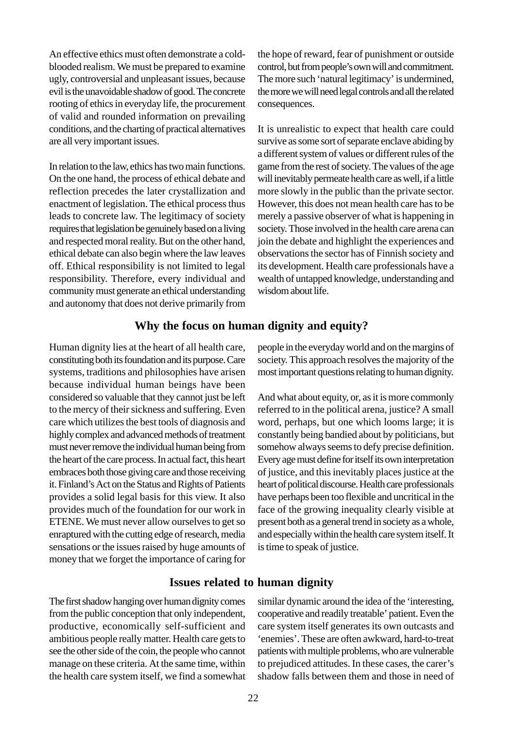<span id="page-21-0"></span>An effective ethics must often demonstrate a coldblooded realism. We must be prepared to examine ugly, controversial and unpleasant issues, because evil is the unavoidable shadow of good. The concrete rooting of ethics in everyday life, the procurement of valid and rounded information on prevailing conditions, and the charting of practical alternatives are all very important issues.

In relation to the law, ethics has two main functions. On the one hand, the process of ethical debate and reflection precedes the later crystallization and enactment of legislation. The ethical process thus leads to concrete law. The legitimacy of society requires that legislation be genuinely based on a living and respected moral reality. But on the other hand, ethical debate can also begin where the law leaves off. Ethical responsibility is not limited to legal responsibility. Therefore, every individual and community must generate an ethical understanding and autonomy that does not derive primarily from the hope of reward, fear of punishment or outside control, but from people's own will and commitment. The more such 'natural legitimacy' is undermined, the more we will need legal controls and all the related consequences.

It is unrealistic to expect that health care could survive as some sort of separate enclave abiding by a different system of values or different rules of the game from the rest of society. The values of the age will inevitably permeate health care as well, if a little more slowly in the public than the private sector. However, this does not mean health care has to be merely a passive observer of what is happening in society. Those involved in the health care arena can join the debate and highlight the experiences and observations the sector has of Finnish society and its development. Health care professionals have a wealth of untapped knowledge, understanding and wisdom about life.

## **Why the focus on human dignity and equity?**

Human dignity lies at the heart of all health care, constituting both its foundation and its purpose. Care systems, traditions and philosophies have arisen because individual human beings have been considered so valuable that they cannot just be left to the mercy of their sickness and suffering. Even care which utilizes the best tools of diagnosis and highly complex and advanced methods of treatment must never remove the individual human being from the heart of the care process. In actual fact, this heart embraces both those giving care and those receiving it. Finland's Act on the Status and Rights of Patients provides a solid legal basis for this view. It also provides much of the foundation for our work in ETENE. We must never allow ourselves to get so enraptured with the cutting edge of research, media sensations or the issues raised by huge amounts of money that we forget the importance of caring for people in the everyday world and on the margins of society. This approach resolves the majority of the most important questions relating to human dignity.

And what about equity, or, as it is more commonly referred to in the political arena, justice? A small word, perhaps, but one which looms large; it is constantly being bandied about by politicians, but somehow always seems to defy precise definition. Every age must define for itself its own interpretation of justice, and this inevitably places justice at the heart of political discourse. Health care professionals have perhaps been too flexible and uncritical in the face of the growing inequality clearly visible at present both as a general trend in society as a whole, and especially within the health care system itself. It is time to speak of justice.

## **Issues related to human dignity**

The first shadow hanging over human dignity comes from the public conception that only independent, productive, economically self-sufficient and ambitious people really matter. Health care gets to see the other side of the coin, the people who cannot manage on these criteria. At the same time, within the health care system itself, we find a somewhat similar dynamic around the idea of the 'interesting, cooperative and readily treatable' patient. Even the care system itself generates its own outcasts and 'enemies'. These are often awkward, hard-to-treat patients with multiple problems, who are vulnerable to prejudiced attitudes. In these cases, the carer's shadow falls between them and those in need of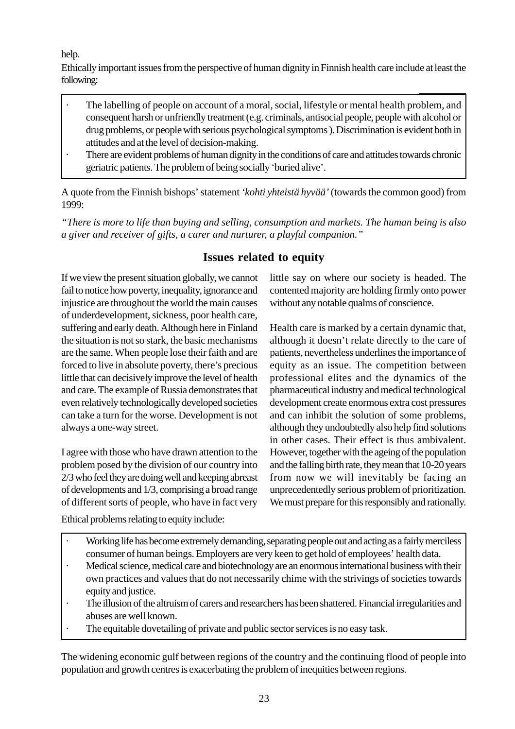<span id="page-22-0"></span>help.

Ethically important issues from the perspective of human dignity in Finnish health care include at least the following:

- The labelling of people on account of a moral, social, lifestyle or mental health problem, and consequent harsh or unfriendly treatment (e.g. criminals, antisocial people, people with alcohol or drug problems, or people with serious psychological symptoms ). Discrimination is evident both in attitudes and at the level of decision-making.
- There are evident problems of human dignity in the conditions of care and attitudes towards chronic geriatric patients. The problem of being socially 'buried alive'.

A quote from the Finnish bishops' statement *'kohti yhteistä hyvää'* (towards the common good) from 1999:

*"There is more to life than buying and selling, consumption and markets. The human being is also a giver and receiver of gifts, a carer and nurturer, a playful companion."*

## **Issues related to equity**

If we view the present situation globally, we cannot fail to notice how poverty, inequality, ignorance and injustice are throughout the world the main causes of underdevelopment, sickness, poor health care, suffering and early death. Although here in Finland the situation is not so stark, the basic mechanisms are the same. When people lose their faith and are forced to live in absolute poverty, there's precious little that can decisively improve the level of health and care. The example of Russia demonstrates that even relatively technologically developed societies can take a turn for the worse. Development is not always a one-way street.

I agree with those who have drawn attention to the problem posed by the division of our country into 2/3 who feel they are doing well and keeping abreast of developments and 1/3, comprising a broad range of different sorts of people, who have in fact very

little say on where our society is headed. The contented majority are holding firmly onto power without any notable qualms of conscience.

Health care is marked by a certain dynamic that, although it doesn't relate directly to the care of patients, nevertheless underlines the importance of equity as an issue. The competition between professional elites and the dynamics of the pharmaceutical industry and medical technological development create enormous extra cost pressures and can inhibit the solution of some problems, although they undoubtedly also help find solutions in other cases. Their effect is thus ambivalent. However, together with the ageing of the population and the falling birth rate, they mean that 10-20 years from now we will inevitably be facing an unprecedentedly serious problem of prioritization. We must prepare for this responsibly and rationally.

Ethical problems relating to equity include:

- · Working life has become extremely demanding, separating people out and acting as a fairly merciless consumer of human beings. Employers are very keen to get hold of employees' health data.
- Medical science, medical care and biotechnology are an enormous international business with their own practices and values that do not necessarily chime with the strivings of societies towards equity and justice.
- The illusion of the altruism of carers and researchers has been shattered. Financial irregularities and abuses are well known.
- The equitable dovetailing of private and public sector services is no easy task.

The widening economic gulf between regions of the country and the continuing flood of people into population and growth centres is exacerbating the problem of inequities between regions.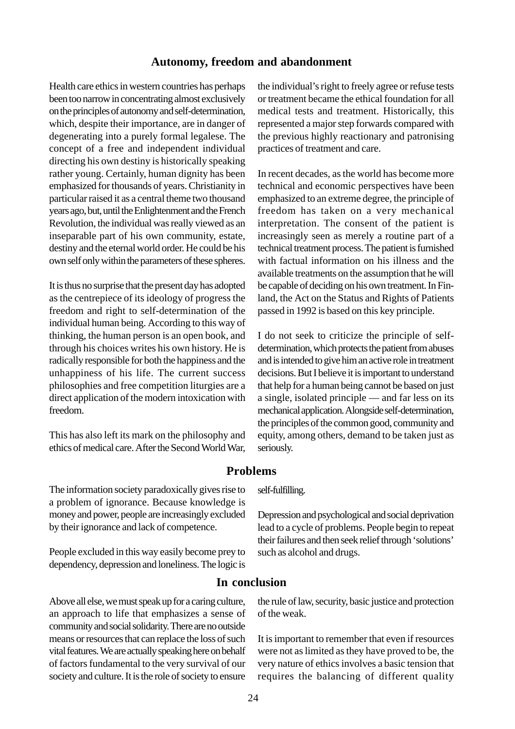## **Autonomy, freedom and abandonment**

<span id="page-23-0"></span>Health care ethics in western countries has perhaps been too narrow in concentrating almost exclusively on the principles of autonomy and self-determination, which, despite their importance, are in danger of degenerating into a purely formal legalese. The concept of a free and independent individual directing his own destiny is historically speaking rather young. Certainly, human dignity has been emphasized for thousands of years. Christianity in particular raised it as a central theme two thousand years ago, but, until the Enlightenment and the French Revolution, the individual was really viewed as an inseparable part of his own community, estate, destiny and the eternal world order. He could be his own self only within the parameters of these spheres.

It is thus no surprise that the present day has adopted as the centrepiece of its ideology of progress the freedom and right to self-determination of the individual human being. According to this way of thinking, the human person is an open book, and through his choices writes his own history. He is radically responsible for both the happiness and the unhappiness of his life. The current success philosophies and free competition liturgies are a direct application of the modern intoxication with freedom.

This has also left its mark on the philosophy and ethics of medical care. After the Second World War, the individual's right to freely agree or refuse tests or treatment became the ethical foundation for all medical tests and treatment. Historically, this represented a major step forwards compared with the previous highly reactionary and patronising practices of treatment and care.

In recent decades, as the world has become more technical and economic perspectives have been emphasized to an extreme degree, the principle of freedom has taken on a very mechanical interpretation. The consent of the patient is increasingly seen as merely a routine part of a technical treatment process. The patient is furnished with factual information on his illness and the available treatments on the assumption that he will be capable of deciding on his own treatment. In Finland, the Act on the Status and Rights of Patients passed in 1992 is based on this key principle.

I do not seek to criticize the principle of selfdetermination, which protects the patient from abuses and is intended to give him an active role in treatment decisions. But I believe it is important to understand that help for a human being cannot be based on just a single, isolated principle — and far less on its mechanical application. Alongside self-determination, the principles of the common good, community and equity, among others, demand to be taken just as seriously.

## **Problems**

The information society paradoxically gives rise to a problem of ignorance. Because knowledge is money and power, people are increasingly excluded by their ignorance and lack of competence.

People excluded in this way easily become prey to dependency, depression and loneliness. The logic is

Above all else, we must speak up for a caring culture, an approach to life that emphasizes a sense of community and social solidarity. There are no outside means or resources that can replace the loss of such vital features. We are actually speaking here on behalf of factors fundamental to the very survival of our society and culture. It is the role of society to ensure

#### self-fulfilling.

Depression and psychological and social deprivation lead to a cycle of problems. People begin to repeat their failures and then seek relief through 'solutions' such as alcohol and drugs.

## **In conclusion**

the rule of law, security, basic justice and protection of the weak.

It is important to remember that even if resources were not as limited as they have proved to be, the very nature of ethics involves a basic tension that requires the balancing of different quality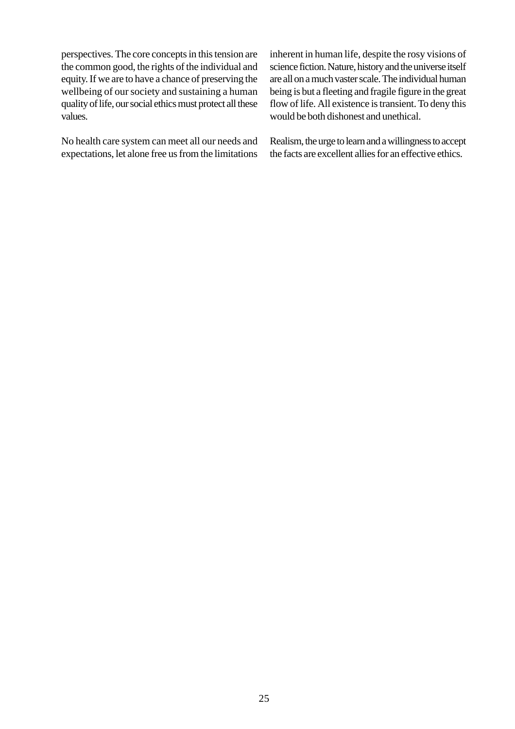perspectives. The core concepts in this tension are the common good, the rights of the individual and equity. If we are to have a chance of preserving the wellbeing of our society and sustaining a human quality of life, our social ethics must protect all these values.

No health care system can meet all our needs and expectations, let alone free us from the limitations inherent in human life, despite the rosy visions of science fiction. Nature, history and the universe itself are all on a much vaster scale. The individual human being is but a fleeting and fragile figure in the great flow of life. All existence is transient. To deny this would be both dishonest and unethical.

Realism, the urge to learn and a willingness to accept the facts are excellent allies for an effective ethics.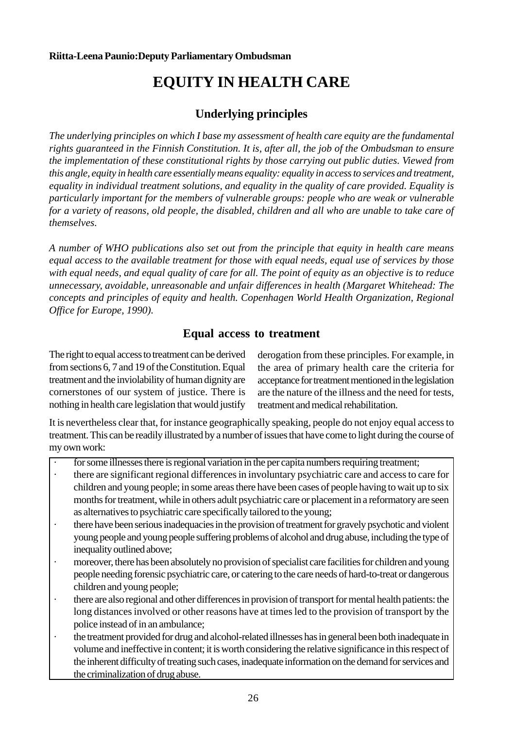# **EQUITY IN HEALTH CARE**

## **Underlying principles**

<span id="page-25-0"></span>*The underlying principles on which I base my assessment of health care equity are the fundamental rights guaranteed in the Finnish Constitution. It is, after all, the job of the Ombudsman to ensure the implementation of these constitutional rights by those carrying out public duties. Viewed from this angle, equity in health care essentially means equality: equality in access to services and treatment, equality in individual treatment solutions, and equality in the quality of care provided. Equality is particularly important for the members of vulnerable groups: people who are weak or vulnerable for a variety of reasons, old people, the disabled, children and all who are unable to take care of themselves.*

*A number of WHO publications also set out from the principle that equity in health care means equal access to the available treatment for those with equal needs, equal use of services by those with equal needs, and equal quality of care for all. The point of equity as an objective is to reduce unnecessary, avoidable, unreasonable and unfair differences in health (Margaret Whitehead: The concepts and principles of equity and health. Copenhagen World Health Organization, Regional Office for Europe, 1990).*

## **Equal access to treatment**

The right to equal access to treatment can be derived from sections 6, 7 and 19 of the Constitution. Equal treatment and the inviolability of human dignity are cornerstones of our system of justice. There is nothing in health care legislation that would justify derogation from these principles. For example, in the area of primary health care the criteria for acceptance for treatment mentioned in the legislation are the nature of the illness and the need for tests, treatment and medical rehabilitation.

It is nevertheless clear that, for instance geographically speaking, people do not enjoy equal access to treatment. This can be readily illustrated by a number of issues that have come to light during the course of my own work:

- for some illnesses there is regional variation in the per capita numbers requiring treatment;
- there are significant regional differences in involuntary psychiatric care and access to care for children and young people; in some areas there have been cases of people having to wait up to six months for treatment, while in others adult psychiatric care or placement in a reformatory are seen as alternatives to psychiatric care specifically tailored to the young;
- there have been serious inadequacies in the provision of treatment for gravely psychotic and violent young people and young people suffering problems of alcohol and drug abuse, including the type of inequality outlined above;
- moreover, there has been absolutely no provision of specialist care facilities for children and young people needing forensic psychiatric care, or catering to the care needs of hard-to-treat or dangerous children and young people;
- there are also regional and other differences in provision of transport for mental health patients: the long distances involved or other reasons have at times led to the provision of transport by the police instead of in an ambulance;
- the treatment provided for drug and alcohol-related illnesses has in general been both inadequate in volume and ineffective in content; it is worth considering the relative significance in this respect of the inherent difficulty of treating such cases, inadequate information on the demand for services and the criminalization of drug abuse.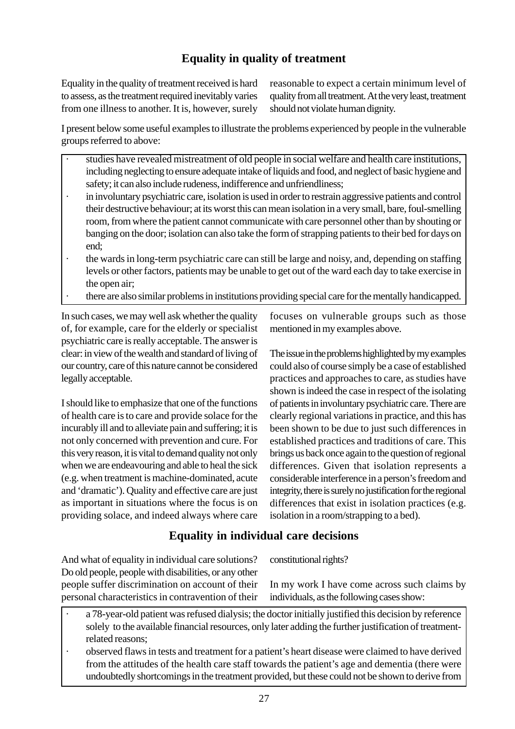## **Equality in quality of treatment**

<span id="page-26-0"></span>Equality in the quality of treatment received is hard to assess, as the treatment required inevitably varies from one illness to another. It is, however, surely reasonable to expect a certain minimum level of quality from all treatment. At the very least, treatment should not violate human dignity.

I present below some useful examples to illustrate the problems experienced by people in the vulnerable groups referred to above:

- · studies have revealed mistreatment of old people in social welfare and health care institutions, including neglecting to ensure adequate intake of liquids and food, and neglect of basic hygiene and safety; it can also include rudeness, indifference and unfriendliness;
- in involuntary psychiatric care, isolation is used in order to restrain aggressive patients and control their destructive behaviour; at its worst this can mean isolation in a very small, bare, foul-smelling room, from where the patient cannot communicate with care personnel other than by shouting or banging on the door; isolation can also take the form of strapping patients to their bed for days on end;
- the wards in long-term psychiatric care can still be large and noisy, and, depending on staffing levels or other factors, patients may be unable to get out of the ward each day to take exercise in the open air;
- · there are also similar problems in institutions providing special care for the mentally handicapped.

In such cases, we may well ask whether the quality of, for example, care for the elderly or specialist psychiatric care is really acceptable. The answer is clear: in view of the wealth and standard of living of our country, care of this nature cannot be considered legally acceptable.

I should like to emphasize that one of the functions of health care is to care and provide solace for the incurably ill and to alleviate pain and suffering; it is not only concerned with prevention and cure. For this very reason, it is vital to demand quality not only when we are endeavouring and able to heal the sick (e.g. when treatment is machine-dominated, acute and 'dramatic'). Quality and effective care are just as important in situations where the focus is on providing solace, and indeed always where care

focuses on vulnerable groups such as those mentioned in my examples above.

The issue in the problems highlighted by my examples could also of course simply be a case of established practices and approaches to care, as studies have shown is indeed the case in respect of the isolating of patients in involuntary psychiatric care. There are clearly regional variations in practice, and this has been shown to be due to just such differences in established practices and traditions of care. This brings us back once again to the question of regional differences. Given that isolation represents a considerable interference in a person's freedom and integrity, there is surely no justification for the regional differences that exist in isolation practices (e.g. isolation in a room/strapping to a bed).

## **Equality in individual care decisions**

And what of equality in individual care solutions? Do old people, people with disabilities, or any other people suffer discrimination on account of their personal characteristics in contravention of their

constitutional rights?

In my work I have come across such claims by individuals, as the following cases show:

- a 78-year-old patient was refused dialysis; the doctor initially justified this decision by reference solely to the available financial resources, only later adding the further justification of treatmentrelated reasons;
- observed flaws in tests and treatment for a patient's heart disease were claimed to have derived from the attitudes of the health care staff towards the patient's age and dementia (there were undoubtedly shortcomings in the treatment provided, but these could not be shown to derive from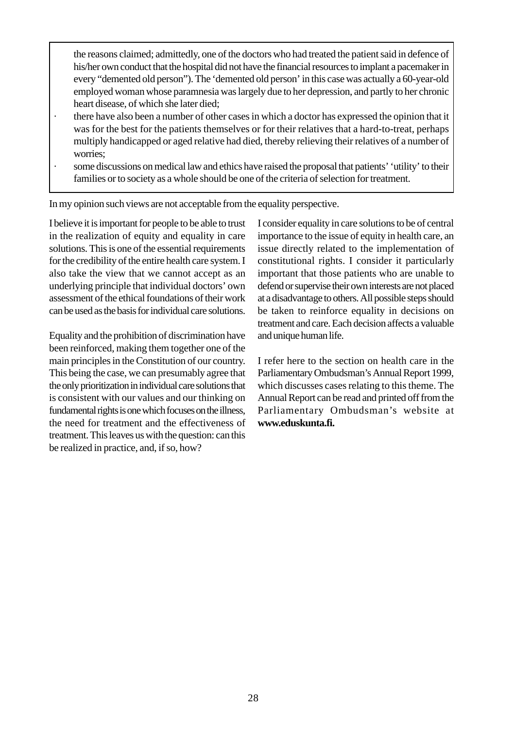the reasons claimed; admittedly, one of the doctors who had treated the patient said in defence of his/her own conduct that the hospital did not have the financial resources to implant a pacemaker in every "demented old person"). The 'demented old person' in this case was actually a 60-year-old employed woman whose paramnesia was largely due to her depression, and partly to her chronic heart disease, of which she later died;

- · there have also been a number of other cases in which a doctor has expressed the opinion that it was for the best for the patients themselves or for their relatives that a hard-to-treat, perhaps multiply handicapped or aged relative had died, thereby relieving their relatives of a number of worries;
- some discussions on medical law and ethics have raised the proposal that patients' 'utility' to their families or to society as a whole should be one of the criteria of selection for treatment.

In my opinion such views are not acceptable from the equality perspective.

I believe it is important for people to be able to trust in the realization of equity and equality in care solutions. This is one of the essential requirements for the credibility of the entire health care system. I also take the view that we cannot accept as an underlying principle that individual doctors' own assessment of the ethical foundations of their work can be used as the basis for individual care solutions.

Equality and the prohibition of discrimination have been reinforced, making them together one of the main principles in the Constitution of our country. This being the case, we can presumably agree that the only prioritization in individual care solutions that is consistent with our values and our thinking on fundamental rights is one which focuses on the illness, the need for treatment and the effectiveness of treatment. This leaves us with the question: can this be realized in practice, and, if so, how?

I consider equality in care solutions to be of central importance to the issue of equity in health care, an issue directly related to the implementation of constitutional rights. I consider it particularly important that those patients who are unable to defend or supervise their own interests are not placed at a disadvantage to others. All possible steps should be taken to reinforce equality in decisions on treatment and care. Each decision affects a valuable and unique human life.

I refer here to the section on health care in the Parliamentary Ombudsman's Annual Report 1999, which discusses cases relating to this theme. The Annual Report can be read and printed off from the Parliamentary Ombudsman's website at **www.eduskunta.fi.**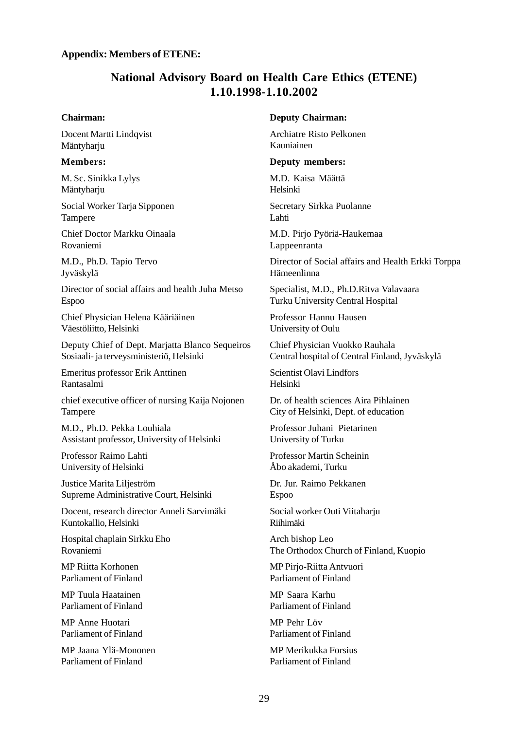#### <span id="page-28-0"></span>**Appendix: Members of ETENE:**

## **National Advisory Board on Health Care Ethics (ETENE) 1.10.1998-1.10.2002**

#### **Chairman:**

Docent Martti Lindqvist Mäntyharju

#### **Members:**

M. Sc. Sinikka Lylys Mäntyharju

Social Worker Tarja Sipponen Tampere

Chief Doctor Markku Oinaala Rovaniemi

M.D., Ph.D. Tapio Tervo Jyväskylä

Director of social affairs and health Juha Metso Espoo

Chief Physician Helena Kääriäinen Väestöliitto, Helsinki

Deputy Chief of Dept. Marjatta Blanco Sequeiros Sosiaali- ja terveysministeriö, Helsinki

Emeritus professor Erik Anttinen Rantasalmi

chief executive officer of nursing Kaija Nojonen Tampere

M.D., Ph.D. Pekka Louhiala Assistant professor, University of Helsinki

Professor Raimo Lahti University of Helsinki

Justice Marita Liljeström Supreme Administrative Court, Helsinki

Docent, research director Anneli Sarvimäki Kuntokallio, Helsinki

Hospital chaplain Sirkku Eho Rovaniemi

MP Riitta Korhonen Parliament of Finland

MP Tuula Haatainen Parliament of Finland

MP Anne Huotari Parliament of Finland

MP Jaana Ylä-Mononen Parliament of Finland

#### **Deputy Chairman:**

Archiatre Risto Pelkonen Kauniainen

#### **Deputy members:**

M.D. Kaisa Määttä Helsinki

Secretary Sirkka Puolanne Lahti

M.D. Pirjo Pyöriä-Haukemaa Lappeenranta

Director of Social affairs and Health Erkki Torppa Hämeenlinna

Specialist, M.D., Ph.D.Ritva Valavaara Turku University Central Hospital

Professor Hannu Hausen University of Oulu

Chief Physician Vuokko Rauhala Central hospital of Central Finland, Jyväskylä

Scientist Olavi Lindfors Helsinki

Dr. of health sciences Aira Pihlainen City of Helsinki, Dept. of education

Professor Juhani Pietarinen University of Turku

Professor Martin Scheinin Åbo akademi, Turku

Dr. Jur. Raimo Pekkanen Espoo

Social worker Outi Viitaharju Riihimäki

Arch bishop Leo The Orthodox Church of Finland, Kuopio

MP Pirjo-Riitta Antvuori Parliament of Finland

MP Saara Karhu Parliament of Finland

MP Pehr Löv Parliament of Finland

MP Merikukka Forsius Parliament of Finland